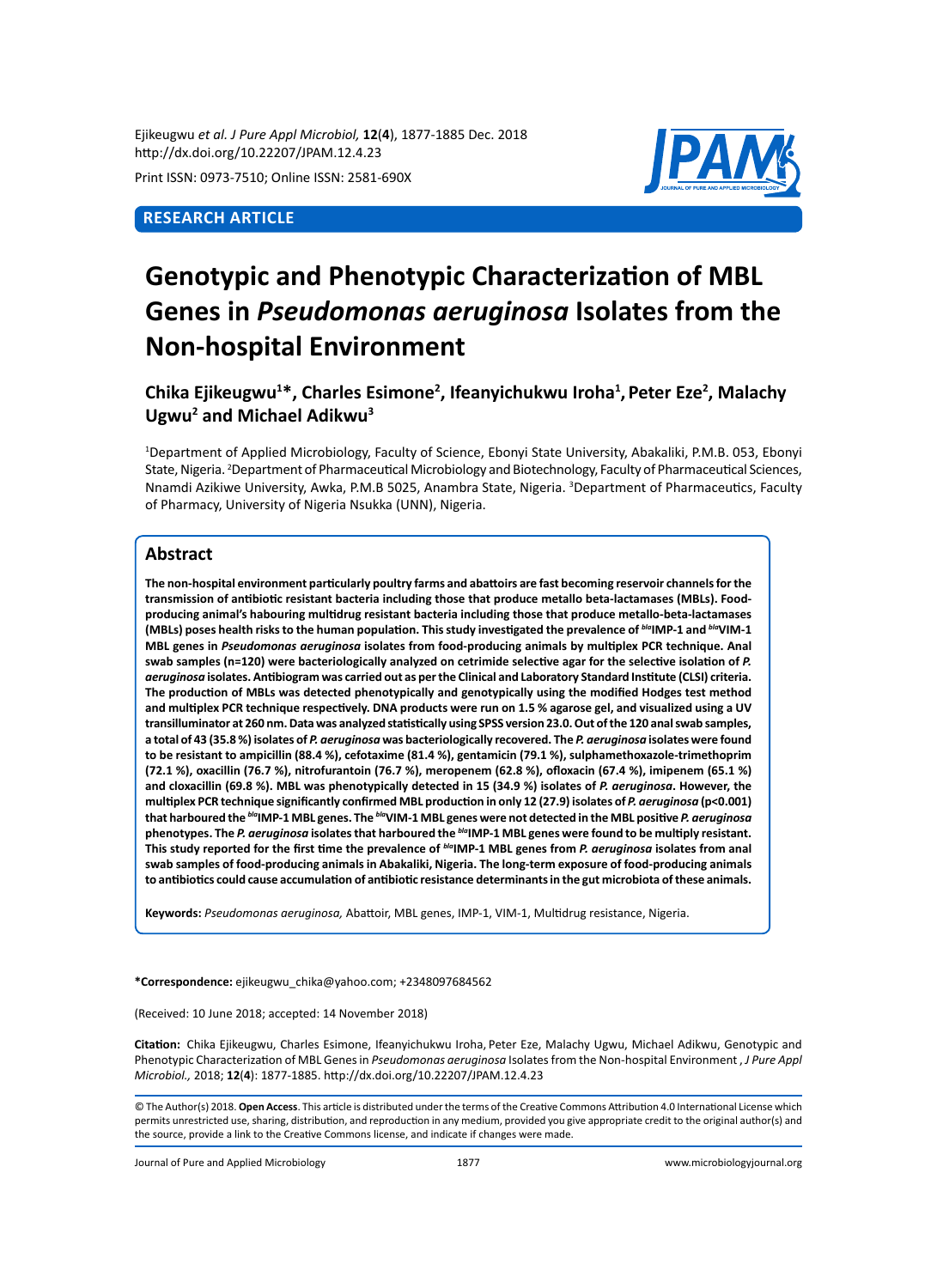Ejikeugwu *et al. J Pure Appl Microbiol,* **12**(**4**), 1877-1885 Dec. 2018 http://dx.doi.org/10.22207/JPAM.12.4.23

Print ISSN: 0973-7510; Online ISSN: 2581-690X

# **Research Article**



# **Genotypic and Phenotypic Characterization of MBL Genes in** *Pseudomonas aeruginosa* **Isolates from the Non-hospital Environment**

**Chika Ejikeugwu1 \*, Charles Esimone<sup>2</sup> , Ifeanyichukwu Iroha<sup>1</sup> ,Peter Eze2 , Malachy**  Ugwu<sup>2</sup> and Michael Adikwu<sup>3</sup>

1 Department of Applied Microbiology, Faculty of Science, Ebonyi State University, Abakaliki, P.M.B. 053, Ebonyi State, Nigeria. <sup>2</sup>Department of Pharmaceutical Microbiology and Biotechnology, Faculty of Pharmaceutical Sciences, Nnamdi Azikiwe University, Awka, P.M.B 5025, Anambra State, Nigeria. <sup>3</sup>Department of Pharmaceutics, Faculty of Pharmacy, University of Nigeria Nsukka (UNN), Nigeria.

# **Abstract**

**The non-hospital environment particularly poultry farms and abattoirs are fast becoming reservoir channels for the transmission of antibiotic resistant bacteria including those that produce metallo beta-lactamases (MBLs). Foodproducing animal's habouring multidrug resistant bacteria including those that produce metallo-beta-lactamases (MBLs) poses health risks to the human population. This study investigated the prevalence of** *bla***IMP-1 and** *bla***VIM-1 MBL genes in** *Pseudomonas aeruginosa* **isolates from food-producing animals by multiplex PCR technique. Anal**  swab samples (n=120) were bacteriologically analyzed on cetrimide selective agar for the selective isolation of P. *aeruginosa* **isolates. Antibiogram was carried out as per the Clinical and Laboratory Standard Institute (CLSI) criteria. The production of MBLs was detected phenotypically and genotypically using the modified Hodges test method and multiplex PCR technique respectively. DNA products were run on 1.5 % agarose gel, and visualized using a UV transilluminator at 260 nm. Data was analyzed statistically using SPSS version 23.0. Out of the 120 anal swab samples, a total of 43 (35.8 %) isolates of** *P. aeruginosa* **was bacteriologically recovered. The** *P. aeruginosa* **isolates were found to be resistant to ampicillin (88.4 %), cefotaxime (81.4 %), gentamicin (79.1 %), sulphamethoxazole-trimethoprim (72.1 %), oxacillin (76.7 %), nitrofurantoin (76.7 %), meropenem (62.8 %), ofloxacin (67.4 %), imipenem (65.1 %) and cloxacillin (69.8 %). MBL was phenotypically detected in 15 (34.9 %) isolates of** *P. aeruginosa***. However, the**  multiplex PCR technique significantly confirmed MBL production in only 12 (27.9) isolates of *P. aeruginosa* (p<0.001) **that harboured the** *bla***IMP-1 MBL genes. The** *bla***VIM-1 MBL genes were not detected in the MBL positive** *P. aeruginosa*  **phenotypes. The** *P. aeruginosa* **isolates that harboured the** *bla***IMP-1 MBL genes were found to be multiply resistant. This study reported for the first time the prevalence of** *bla***IMP-1 MBL genes from** *P. aeruginosa* **isolates from anal swab samples of food-producing animals in Abakaliki, Nigeria. The long-term exposure of food-producing animals to antibiotics could cause accumulation of antibiotic resistance determinants in the gut microbiota of these animals.** 

**Keywords:** *Pseudomonas aeruginosa,* Abattoir, MBL genes, IMP-1, VIM-1, Multidrug resistance, Nigeria.

**\*Correspondence:** ejikeugwu\_chika@yahoo.com; +2348097684562

(Received: 10 June 2018; accepted: 14 November 2018)

**Citation:**  Chika Ejikeugwu, Charles Esimone, Ifeanyichukwu Iroha, Peter Eze, Malachy Ugwu, Michael Adikwu, Genotypic and Phenotypic Characterization of MBL Genes in *Pseudomonas aeruginosa* Isolates from the Non-hospital Environment , *J Pure Appl Microbiol.,* 2018; **12**(**4**): 1877-1885. http://dx.doi.org/10.22207/JPAM.12.4.23

Journal of Pure and Applied Microbiology 1877 www.microbiologyjournal.org

<sup>©</sup> The Author(s) 2018. **Open Access**. This article is distributed under the terms of the Creative Commons Attribution 4.0 International License which permits unrestricted use, sharing, distribution, and reproduction in any medium, provided you give appropriate credit to the original author(s) and the source, provide a link to the Creative Commons license, and indicate if changes were made.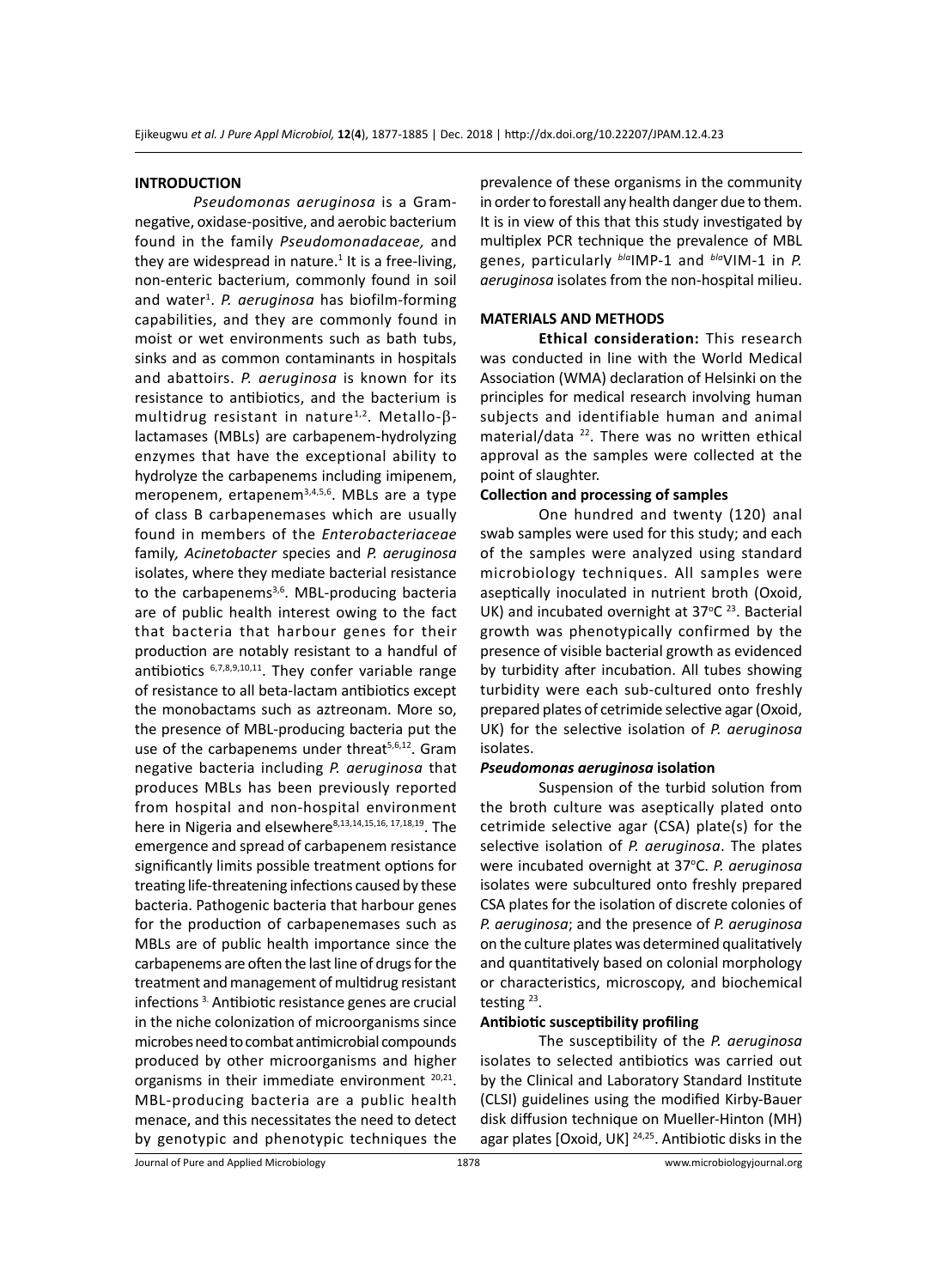#### **INTRODUCTION**

*Pseudomonas aeruginosa* is a Gramnegative, oxidase-positive, and aerobic bacterium found in the family *Pseudomonadaceae,* and they are widespread in nature. $1$  It is a free-living, non-enteric bacterium, commonly found in soil and water<sup>1</sup>. P. aeruginosa has biofilm-forming capabilities, and they are commonly found in moist or wet environments such as bath tubs, sinks and as common contaminants in hospitals and abattoirs. *P. aeruginosa* is known for its resistance to antibiotics, and the bacterium is multidrug resistant in nature<sup>1,2</sup>. Metallo- $\beta$ lactamases (MBLs) are carbapenem-hydrolyzing enzymes that have the exceptional ability to hydrolyze the carbapenems including imipenem, meropenem, ertapenem<sup>3,4,5,6</sup>. MBLs are a type of class B carbapenemases which are usually found in members of the *Enterobacteriaceae*  family*, Acinetobacter* species and *P. aeruginosa*  isolates, where they mediate bacterial resistance to the carbapenems<sup>3,6</sup>. MBL-producing bacteria are of public health interest owing to the fact that bacteria that harbour genes for their production are notably resistant to a handful of antibiotics  $6,7,8,9,10,11$ . They confer variable range of resistance to all beta-lactam antibiotics except the monobactams such as aztreonam. More so, the presence of MBL-producing bacteria put the use of the carbapenems under threat<sup>5,6,12</sup>. Gram negative bacteria including *P. aeruginosa* that produces MBLs has been previously reported from hospital and non-hospital environment here in Nigeria and elsewhere<sup>8,13,14,15,16, 17,18,19</sup>. The emergence and spread of carbapenem resistance significantly limits possible treatment options for treating life-threatening infections caused by these bacteria. Pathogenic bacteria that harbour genes for the production of carbapenemases such as MBLs are of public health importance since the carbapenems are often the last line of drugs for the treatment and management of multidrug resistant infections 3. Antibiotic resistance genes are crucial in the niche colonization of microorganisms since microbes need to combat antimicrobial compounds produced by other microorganisms and higher organisms in their immediate environment <sup>20,21</sup>. MBL-producing bacteria are a public health menace, and this necessitates the need to detect by genotypic and phenotypic techniques the

prevalence of these organisms in the community in order to forestall any health danger due to them. It is in view of this that this study investigated by multiplex PCR technique the prevalence of MBL genes, particularly *bla*IMP-1 and *bla*VIM-1 in *P. aeruginosa* isolates from the non-hospital milieu.

# **MATERIALS AND METHODS**

**Ethical consideration:** This research was conducted in line with the World Medical Association (WMA) declaration of Helsinki on the principles for medical research involving human subjects and identifiable human and animal material/data <sup>22</sup>. There was no written ethical approval as the samples were collected at the point of slaughter.

#### **Collection and processing of samples**

One hundred and twenty (120) anal swab samples were used for this study; and each of the samples were analyzed using standard microbiology techniques. All samples were aseptically inoculated in nutrient broth (Oxoid, UK) and incubated overnight at  $37^{\circ}$ C<sup>23</sup>. Bacterial growth was phenotypically confirmed by the presence of visible bacterial growth as evidenced by turbidity after incubation. All tubes showing turbidity were each sub-cultured onto freshly prepared plates of cetrimide selective agar (Oxoid, UK) for the selective isolation of *P. aeruginosa*  isolates.

#### *Pseudomonas aeruginosa* **isolation**

Suspension of the turbid solution from the broth culture was aseptically plated onto cetrimide selective agar (CSA) plate(s) for the selective isolation of *P. aeruginosa*. The plates were incubated overnight at 37°C. P. aeruginosa isolates were subcultured onto freshly prepared CSA plates for the isolation of discrete colonies of *P. aeruginosa*; and the presence of *P. aeruginosa* on the culture plates was determined qualitatively and quantitatively based on colonial morphology or characteristics, microscopy, and biochemical testing 23.

## **Antibiotic susceptibility profiling**

The susceptibility of the *P. aeruginosa*  isolates to selected antibiotics was carried out by the Clinical and Laboratory Standard Institute (CLSI) guidelines using the modified Kirby-Bauer disk diffusion technique on Mueller-Hinton (MH) agar plates [Oxoid, UK]<sup>24,25</sup>. Antibiotic disks in the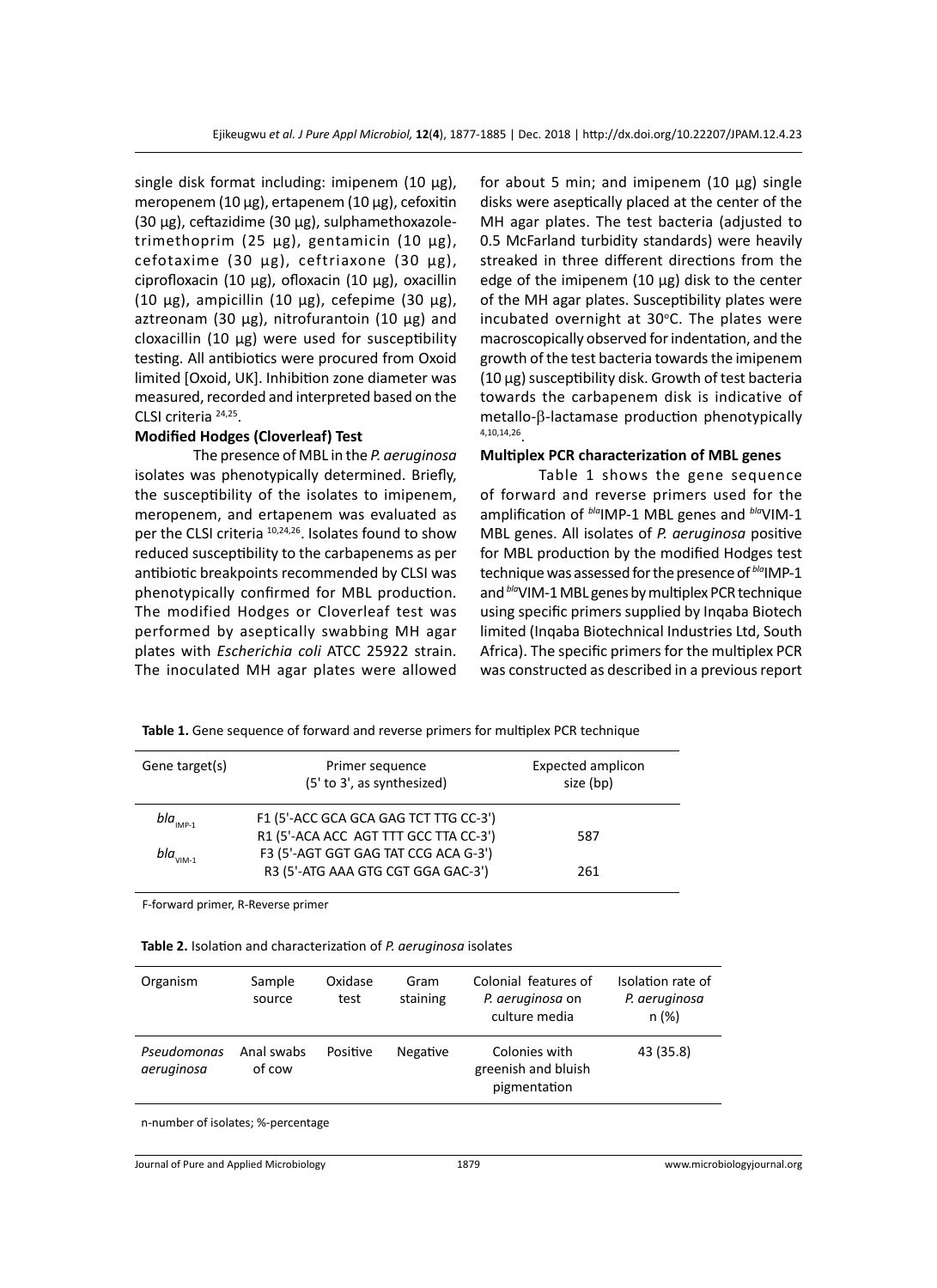single disk format including: imipenem  $(10 \mu g)$ , meropenem (10 µg), ertapenem (10 µg), cefoxitin (30 µg), ceftazidime (30 µg), sulphamethoxazoletrimethoprim (25 µg), gentamicin (10 µg), cefotaxime (30 µg), ceftriaxone (30 µg), ciprofloxacin (10 µg), ofloxacin (10 µg), oxacillin (10  $\mu$ g), ampicillin (10  $\mu$ g), cefepime (30  $\mu$ g), aztreonam (30  $\mu$ g), nitrofurantoin (10  $\mu$ g) and cloxacillin (10 µg) were used for susceptibility testing. All antibiotics were procured from Oxoid limited [Oxoid, UK]. Inhibition zone diameter was measured, recorded and interpreted based on the CLSI criteria 24,25.

## **Modified Hodges (Cloverleaf) Test**

The presence of MBL in the *P. aeruginosa*  isolates was phenotypically determined. Briefly, the susceptibility of the isolates to imipenem, meropenem, and ertapenem was evaluated as per the CLSI criteria <sup>10,24,26</sup>. Isolates found to show reduced susceptibility to the carbapenems as per antibiotic breakpoints recommended by CLSI was phenotypically confirmed for MBL production. The modified Hodges or Cloverleaf test was performed by aseptically swabbing MH agar plates with *Escherichia coli* ATCC 25922 strain. The inoculated MH agar plates were allowed for about 5 min; and imipenem  $(10 \mu g)$  single disks were aseptically placed at the center of the MH agar plates. The test bacteria (adjusted to 0.5 McFarland turbidity standards) were heavily streaked in three different directions from the edge of the imipenem  $(10 \mu g)$  disk to the center of the MH agar plates. Susceptibility plates were incubated overnight at 30°C. The plates were macroscopically observed for indentation, and the growth of the test bacteria towards the imipenem (10 µg) susceptibility disk. Growth of test bacteria towards the carbapenem disk is indicative of metallo-β-lactamase production phenotypically 4,10,14,26.

## **Multiplex PCR characterization of MBL genes**

Table 1 shows the gene sequence of forward and reverse primers used for the amplification of *bla*IMP-1 MBL genes and *bla*VIM-1 MBL genes. All isolates of *P. aeruginosa* positive for MBL production by the modified Hodges test technique was assessed for the presence of *bla*IMP-1 and *bla*VIM-1 MBL genes by multiplex PCR technique using specific primers supplied by Inqaba Biotech limited (Inqaba Biotechnical Industries Ltd, South Africa). The specific primers for the multiplex PCR was constructed as described in a previous report

**Table 1.** Gene sequence of forward and reverse primers for multiplex PCR technique

| Gene target(s)            | Primer sequence<br>(5' to 3', as synthesized)                                 | Expected amplicon<br>size (bp) |
|---------------------------|-------------------------------------------------------------------------------|--------------------------------|
| $bla_{\text{IMP-1}}$      | F1 (5'-ACC GCA GCA GAG TCT TTG CC-3')                                         |                                |
| bla $_{\rm VIM\text{-}1}$ | R1 (5'-ACA ACC AGT TTT GCC TTA CC-3')<br>F3 (5'-AGT GGT GAG TAT CCG ACA G-3') | 587                            |
|                           | R3 (5'-ATG AAA GTG CGT GGA GAC-3')                                            | 261                            |

F-forward primer, R-Reverse primer

| Table 2. Isolation and characterization of P. aeruginosa isolates |  |  |
|-------------------------------------------------------------------|--|--|
|-------------------------------------------------------------------|--|--|

| Organism                  | Sample<br>source     | Oxidase<br>test | Gram<br>staining | Colonial features of<br>P. aeruginosa on<br>culture media | Isolation rate of<br>P. aeruginosa<br>n (%) |
|---------------------------|----------------------|-----------------|------------------|-----------------------------------------------------------|---------------------------------------------|
| Pseudomonas<br>aeruginosa | Anal swabs<br>of cow | Positive        | Negative         | Colonies with<br>greenish and bluish<br>pigmentation      | 43 (35.8)                                   |

n-number of isolates; %-percentage

Journal of Pure and Applied Microbiology 1879 www.microbiologyjournal.org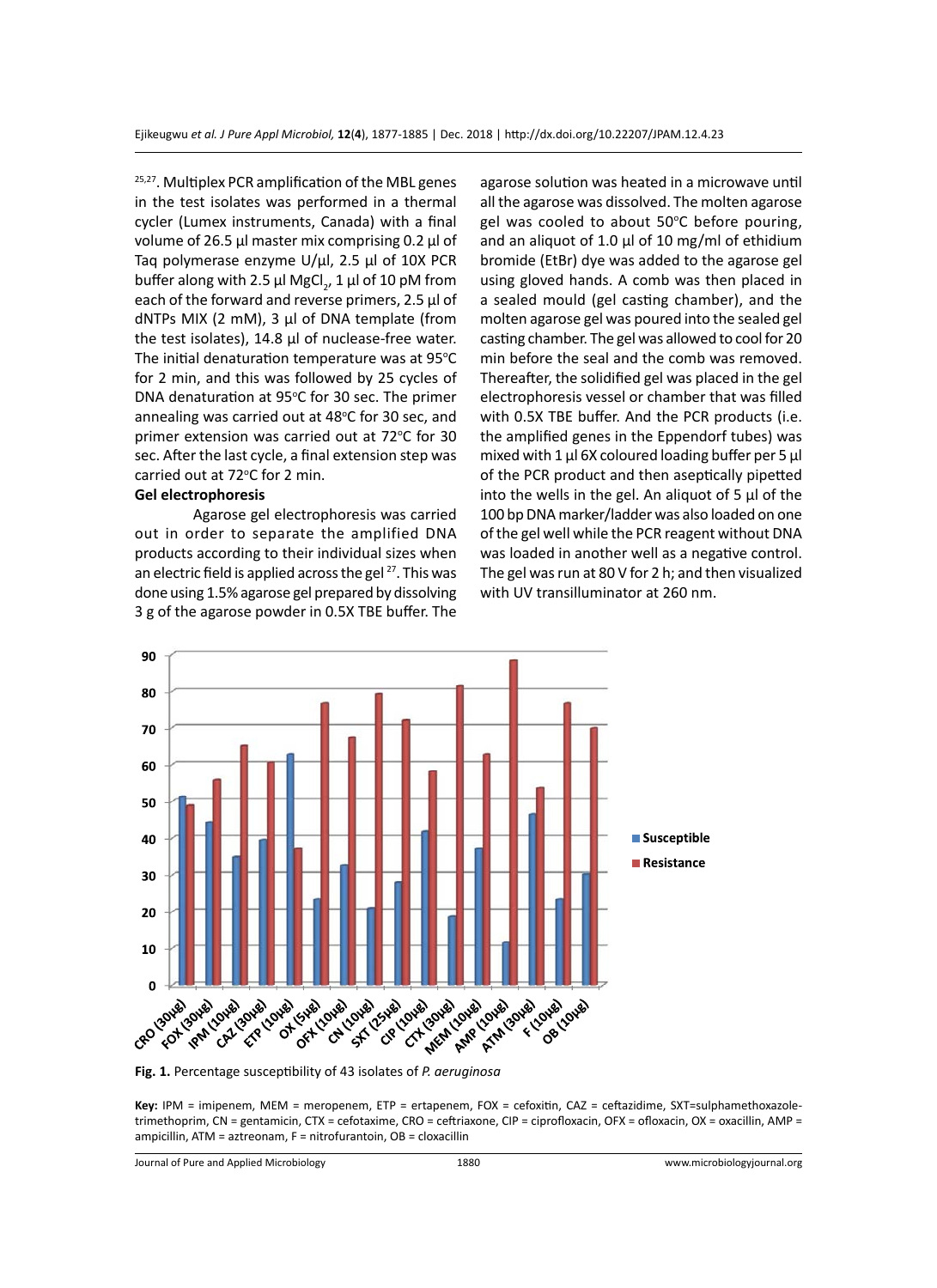<sup>25,27</sup>. Multiplex PCR amplification of the MBL genes in the test isolates was performed in a thermal cycler (Lumex instruments, Canada) with a final volume of 26.5 µl master mix comprising 0.2 µl of Taq polymerase enzyme U/µl, 2.5 µl of 10X PCR buffer along with 2.5  $\mu$ l MgCl<sub>2</sub>, 1  $\mu$ l of 10 pM from each of the forward and reverse primers, 2.5 µl of dNTPs MIX (2 mM), 3 µl of DNA template (from the test isolates), 14.8 µl of nuclease-free water. The initial denaturation temperature was at  $95^{\circ}$ C for 2 min, and this was followed by 25 cycles of DNA denaturation at 95°C for 30 sec. The primer annealing was carried out at 48°C for 30 sec, and primer extension was carried out at 72°C for 30 sec. After the last cycle, a final extension step was carried out at 72°C for 2 min.

# **Gel electrophoresis**

Agarose gel electrophoresis was carried out in order to separate the amplified DNA products according to their individual sizes when an electric field is applied across the gel<sup>27</sup>. This was done using 1.5% agarose gel prepared by dissolving 3 g of the agarose powder in 0.5X TBE buffer. The agarose solution was heated in a microwave until all the agarose was dissolved. The molten agarose gel was cooled to about 50°C before pouring, and an aliquot of 1.0  $\mu$ l of 10 mg/ml of ethidium bromide (EtBr) dye was added to the agarose gel using gloved hands. A comb was then placed in a sealed mould (gel casting chamber), and the molten agarose gel was poured into the sealed gel casting chamber. The gel was allowed to cool for 20 min before the seal and the comb was removed. Thereafter, the solidified gel was placed in the gel electrophoresis vessel or chamber that was filled with 0.5X TBE buffer. And the PCR products (i.e. the amplified genes in the Eppendorf tubes) was mixed with 1  $\mu$ l 6X coloured loading buffer per 5  $\mu$ l of the PCR product and then aseptically pipetted into the wells in the gel. An aliquot of 5 µl of the 100 bp DNA marker/ladder was also loaded on one of the gel well while the PCR reagent without DNA was loaded in another well as a negative control. The gel was run at 80 V for 2 h; and then visualized with UV transilluminator at 260 nm.



**Fig. 1.** Percentage susceptibility of 43 isolates of *P. aeruginosa* 

**Key:** IPM = imipenem, MEM = meropenem, ETP = ertapenem, FOX = cefoxitin, CAZ = ceftazidime, SXT=sulphamethoxazoletrimethoprim, CN = gentamicin, CTX = cefotaxime, CRO = ceftriaxone, CIP = ciprofloxacin, OFX = ofloxacin, OX = oxacillin, AMP = ampicillin, ATM = aztreonam, F = nitrofurantoin, OB = cloxacillin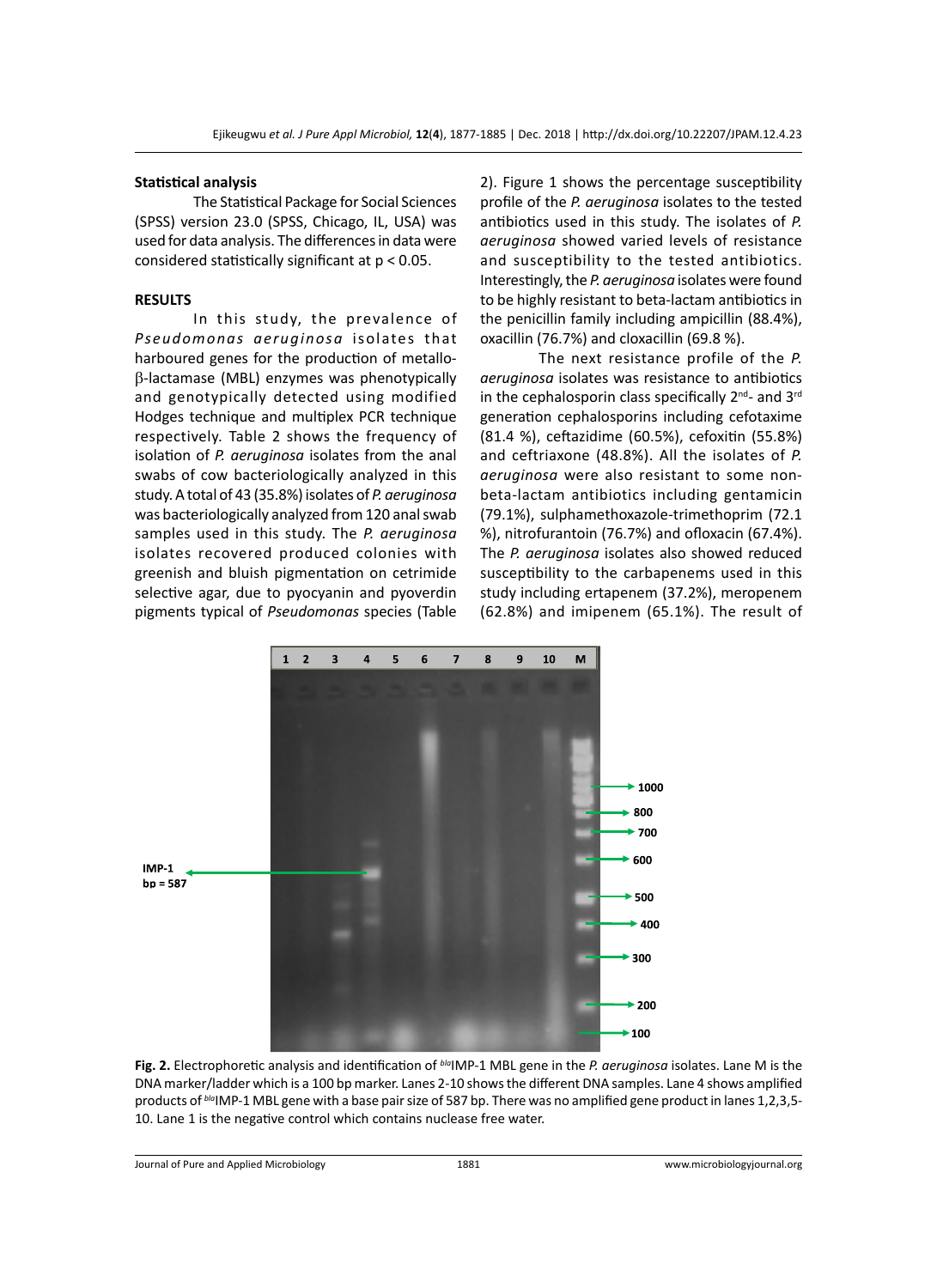#### **Statistical analysis**

The Statistical Package for Social Sciences (SPSS) version 23.0 (SPSS, Chicago, IL, USA) was used for data analysis. The differences in data were considered statistically significant at p < 0.05.

#### **RESULTS**

In this study, the prevalence of *Pseudomonas aeruginosa* isolates that harboured genes for the production of metallob-lactamase (MBL) enzymes was phenotypically and genotypically detected using modified Hodges technique and multiplex PCR technique respectively. Table 2 shows the frequency of isolation of *P. aeruginosa* isolates from the anal swabs of cow bacteriologically analyzed in this study. A total of 43 (35.8%) isolates of *P. aeruginosa* was bacteriologically analyzed from 120 anal swab samples used in this study. The *P. aeruginosa*  isolates recovered produced colonies with greenish and bluish pigmentation on cetrimide selective agar, due to pyocyanin and pyoverdin pigments typical of *Pseudomonas* species (Table 2). Figure 1 shows the percentage susceptibility profile of the *P. aeruginosa* isolates to the tested antibiotics used in this study. The isolates of *P. aeruginosa* showed varied levels of resistance and susceptibility to the tested antibiotics. Interestingly, the *P. aeruginosa* isolates were found to be highly resistant to beta-lactam antibiotics in the penicillin family including ampicillin (88.4%), oxacillin (76.7%) and cloxacillin (69.8 %).

The next resistance profile of the *P. aeruginosa* isolates was resistance to antibiotics in the cephalosporin class specifically  $2^{nd}$ - and  $3^{rd}$ generation cephalosporins including cefotaxime (81.4 %), ceftazidime (60.5%), cefoxitin (55.8%) and ceftriaxone (48.8%). All the isolates of *P. aeruginosa* were also resistant to some nonbeta-lactam antibiotics including gentamicin (79.1%), sulphamethoxazole-trimethoprim (72.1 %), nitrofurantoin (76.7%) and ofloxacin (67.4%). The *P. aeruginosa* isolates also showed reduced susceptibility to the carbapenems used in this study including ertapenem (37.2%), meropenem (62.8%) and imipenem (65.1%). The result of



**Fig. 2.** Electrophoretic analysis and identification of *bla*IMP-1 MBL gene in the *P. aeruginosa* isolates. Lane M is the DNA marker/ladder which is a 100 bp marker. Lanes 2-10 shows the different DNA samples. Lane 4 shows amplified products of *bla*IMP-1 MBL gene with a base pair size of 587 bp. There was no amplified gene product in lanes 1,2,3,5- 10. Lane 1 is the negative control which contains nuclease free water.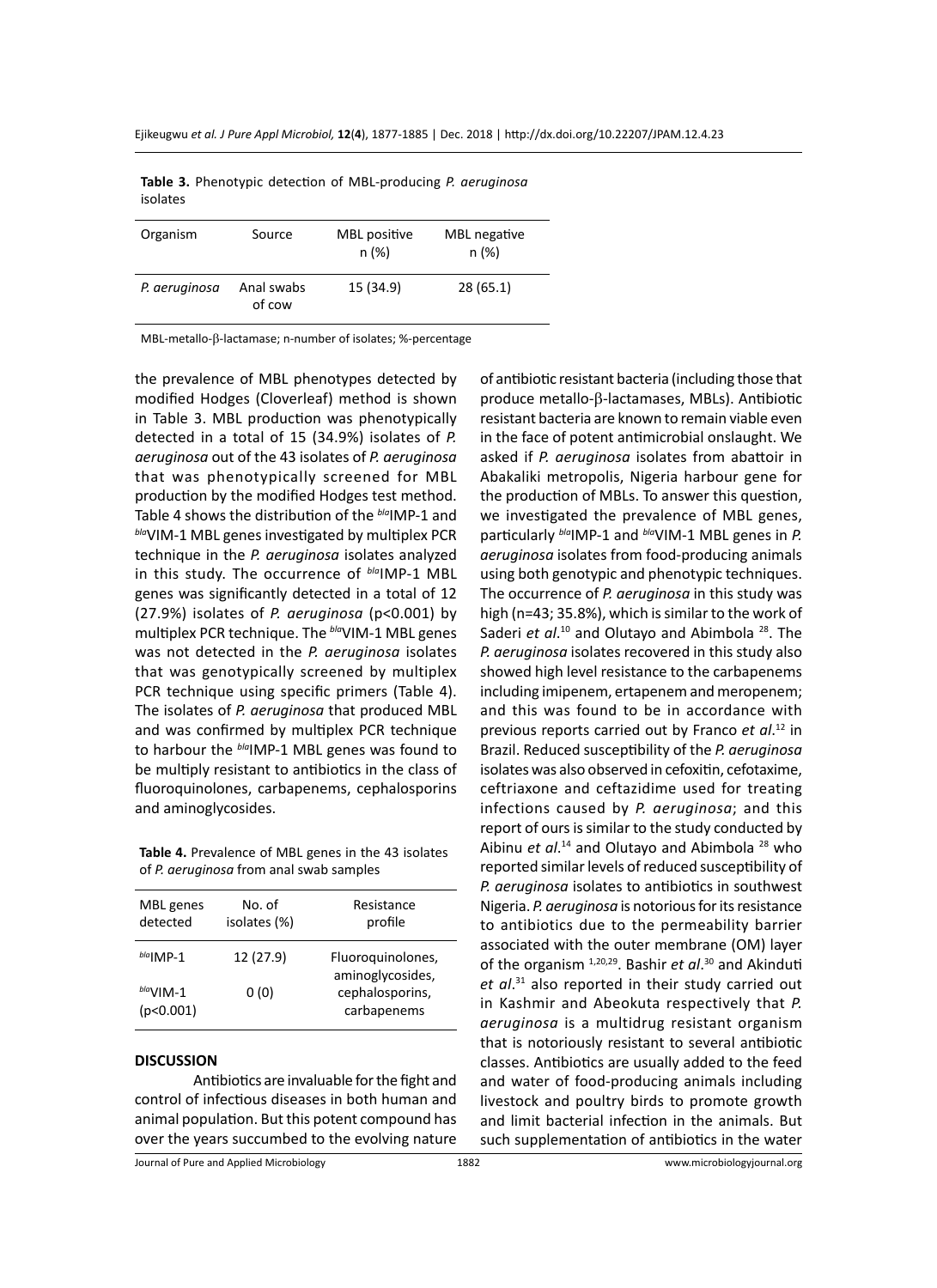| Organism      | Source               | MBL positive<br>n (%) | MBL negative<br>n (%) |
|---------------|----------------------|-----------------------|-----------------------|
| P. aeruginosa | Anal swabs<br>of cow | 15 (34.9)             | 28(65.1)              |

**Table 3.** Phenotypic detection of MBL-producing *P. aeruginosa*  isolates

MBL-metallo-β-lactamase; n-number of isolates; %-percentage

the prevalence of MBL phenotypes detected by modified Hodges (Cloverleaf) method is shown in Table 3. MBL production was phenotypically detected in a total of 15 (34.9%) isolates of *P. aeruginosa* out of the 43 isolates of *P. aeruginosa*  that was phenotypically screened for MBL production by the modified Hodges test method. Table 4 shows the distribution of the *bla*IMP-1 and *bla*VIM-1 MBL genes investigated by multiplex PCR technique in the *P. aeruginosa* isolates analyzed in this study. The occurrence of *bla*IMP-1 MBL genes was significantly detected in a total of 12 (27.9%) isolates of *P. aeruginosa* (p<0.001) by multiplex PCR technique. The *bla*VIM-1 MBL genes was not detected in the *P. aeruginosa* isolates that was genotypically screened by multiplex PCR technique using specific primers (Table 4). The isolates of *P. aeruginosa* that produced MBL and was confirmed by multiplex PCR technique to harbour the *bla*IMP-1 MBL genes was found to be multiply resistant to antibiotics in the class of fluoroquinolones, carbapenems, cephalosporins and aminoglycosides.

**Table 4.** Prevalence of MBL genes in the 43 isolates of *P. aeruginosa* from anal swab samples

| MBL genes<br>detected    | No. of<br>isolates (%) | Resistance<br>profile                 |
|--------------------------|------------------------|---------------------------------------|
| $b/a$   MP-1             | 12 (27.9)              | Fluoroquinolones,<br>aminoglycosides, |
| $b/a$ VIM-1<br>(p<0.001) | 0 (0)                  | cephalosporins,<br>carbapenems        |

#### **DISCUSSION**

Antibiotics are invaluable for the fight and control of infectious diseases in both human and animal population. But this potent compound has over the years succumbed to the evolving nature of antibiotic resistant bacteria (including those that produce metallo-β-lactamases, MBLs). Antibiotic resistant bacteria are known to remain viable even in the face of potent antimicrobial onslaught. We asked if *P. aeruginosa* isolates from abattoir in Abakaliki metropolis, Nigeria harbour gene for the production of MBLs. To answer this question, we investigated the prevalence of MBL genes, particularly  $^{b/a}$ IMP-1 and  $^{b/a}$ VIM-1 MBL genes in *P*. *aeruginosa* isolates from food-producing animals using both genotypic and phenotypic techniques. The occurrence of *P. aeruginosa* in this study was high (n=43; 35.8%), which is similar to the work of Saderi et al.<sup>10</sup> and Olutayo and Abimbola<sup>28</sup>. The *P. aeruginosa* isolates recovered in this study also showed high level resistance to the carbapenems including imipenem, ertapenem and meropenem; and this was found to be in accordance with previous reports carried out by Franco *et al*. <sup>12</sup> in Brazil. Reduced susceptibility of the *P. aeruginosa*  isolates was also observed in cefoxitin, cefotaxime, ceftriaxone and ceftazidime used for treating infections caused by *P. aeruginosa*; and this report of ours is similar to the study conducted by Aibinu et al.<sup>14</sup> and Olutayo and Abimbola<sup>28</sup> who reported similar levels of reduced susceptibility of *P. aeruginosa* isolates to antibiotics in southwest Nigeria. *P. aeruginosa* is notorious for its resistance to antibiotics due to the permeability barrier associated with the outer membrane (OM) layer of the organism 1,20,29. Bashir *et al*. 30 and Akinduti *et al*. <sup>31</sup> also reported in their study carried out in Kashmir and Abeokuta respectively that *P. aeruginosa* is a multidrug resistant organism that is notoriously resistant to several antibiotic classes. Antibiotics are usually added to the feed and water of food-producing animals including livestock and poultry birds to promote growth and limit bacterial infection in the animals. But such supplementation of antibiotics in the water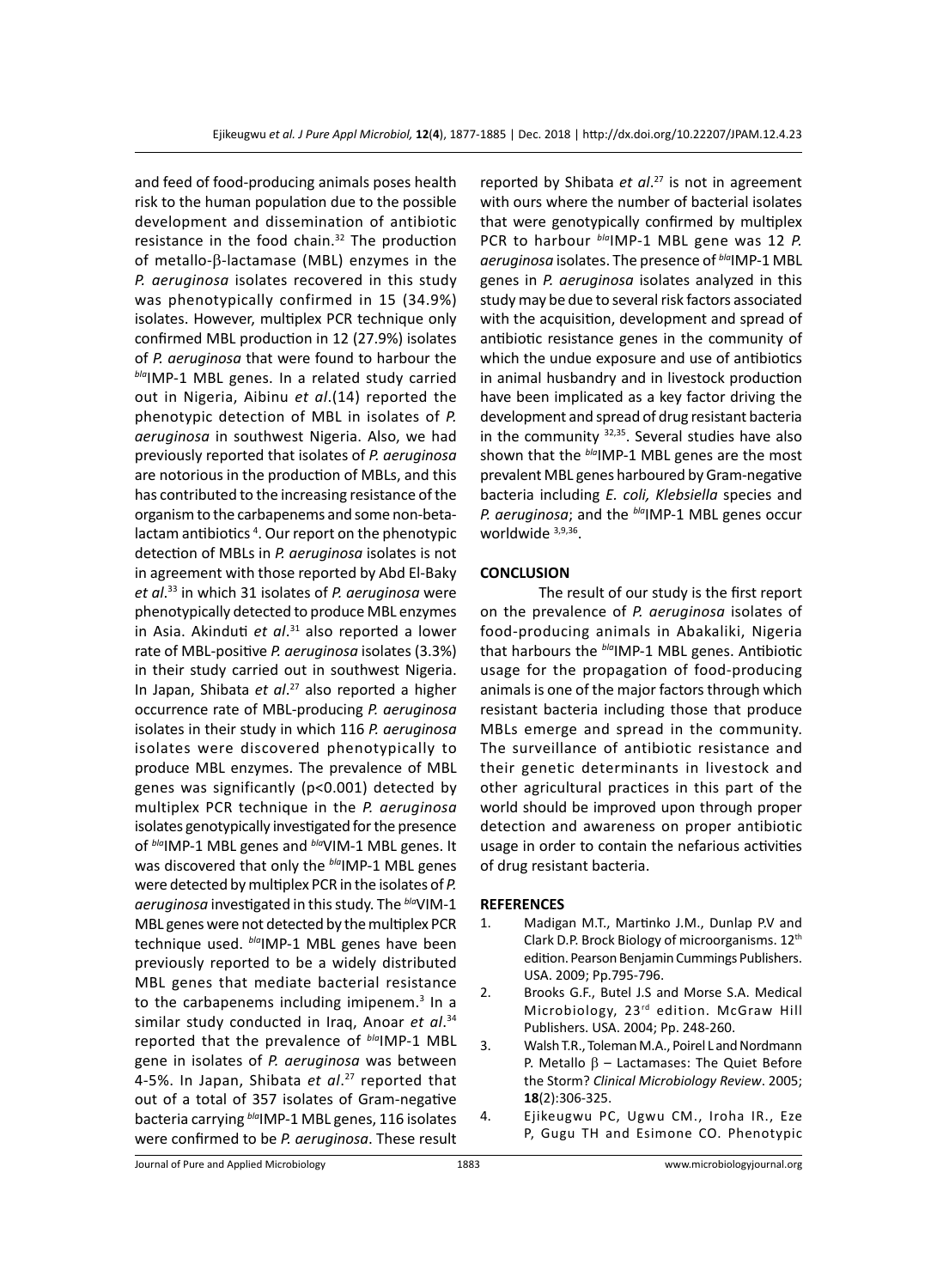and feed of food-producing animals poses health risk to the human population due to the possible development and dissemination of antibiotic resistance in the food chain.<sup>32</sup> The production of metallo- $\beta$ -lactamase (MBL) enzymes in the *P. aeruginosa* isolates recovered in this study was phenotypically confirmed in 15 (34.9%) isolates. However, multiplex PCR technique only confirmed MBL production in 12 (27.9%) isolates of *P. aeruginosa* that were found to harbour the *bla*IMP-1 MBL genes. In a related study carried out in Nigeria, Aibinu *et al*.(14) reported the phenotypic detection of MBL in isolates of *P. aeruginosa* in southwest Nigeria. Also, we had previously reported that isolates of *P. aeruginosa*  are notorious in the production of MBLs, and this has contributed to the increasing resistance of the organism to the carbapenems and some non-betalactam antibiotics<sup>4</sup>. Our report on the phenotypic detection of MBLs in *P. aeruginosa* isolates is not in agreement with those reported by Abd El-Baky *et al*. 33 in which 31 isolates of *P. aeruginosa* were phenotypically detected to produce MBL enzymes in Asia. Akinduti *et al*. 31 also reported a lower rate of MBL-positive *P. aeruginosa* isolates (3.3%) in their study carried out in southwest Nigeria. In Japan, Shibata *et al*. 27 also reported a higher occurrence rate of MBL-producing *P. aeruginosa*  isolates in their study in which 116 *P. aeruginosa* isolates were discovered phenotypically to produce MBL enzymes. The prevalence of MBL genes was significantly (p<0.001) detected by multiplex PCR technique in the *P. aeruginosa*  isolates genotypically investigated for the presence of *bla*IMP-1 MBL genes and *bla*VIM-1 MBL genes. It was discovered that only the **blandP-1** MBL genes were detected by multiplex PCR in the isolates of *P. aeruginosa* investigated in this study. The *bla*VIM-1 MBL genes were not detected by the multiplex PCR technique used. *bla*IMP-1 MBL genes have been previously reported to be a widely distributed MBL genes that mediate bacterial resistance to the carbapenems including imipenem.<sup>3</sup> In a similar study conducted in Iraq, Anoar *et al*. 34 reported that the prevalence of *bla*IMP-1 MBL gene in isolates of *P. aeruginosa* was between 4-5%. In Japan, Shibata *et al*. 27 reported that out of a total of 357 isolates of Gram-negative bacteria carrying *bla*IMP-1 MBL genes, 116 isolates were confirmed to be *P. aeruginosa*. These result

reported by Shibata *et al*. 27 is not in agreement with ours where the number of bacterial isolates that were genotypically confirmed by multiplex PCR to harbour *bla*IMP-1 MBL gene was 12 *P. aeruginosa* isolates. The presence of *bla*IMP-1 MBL genes in *P. aeruginosa* isolates analyzed in this study may be due to several risk factors associated with the acquisition, development and spread of antibiotic resistance genes in the community of which the undue exposure and use of antibiotics in animal husbandry and in livestock production have been implicated as a key factor driving the development and spread of drug resistant bacteria in the community  $32,35$ . Several studies have also shown that the *bla*IMP-1 MBL genes are the most prevalent MBL genes harboured by Gram-negative bacteria including *E. coli, Klebsiella* species and *P. aeruginosa*; and the *bla*IMP-1 MBL genes occur worldwide 3,9,36.

# **CONCLUSION**

The result of our study is the first report on the prevalence of *P. aeruginosa* isolates of food-producing animals in Abakaliki, Nigeria that harbours the *bla*IMP-1 MBL genes. Antibiotic usage for the propagation of food-producing animals is one of the major factors through which resistant bacteria including those that produce MBLs emerge and spread in the community. The surveillance of antibiotic resistance and their genetic determinants in livestock and other agricultural practices in this part of the world should be improved upon through proper detection and awareness on proper antibiotic usage in order to contain the nefarious activities of drug resistant bacteria.

#### **REFERENCES**

- 1. Madigan M.T., Martinko J.M., Dunlap P.V and Clark D.P. Brock Biology of microorganisms. 12th edition. Pearson Benjamin Cummings Publishers. USA. 2009; Pp.795-796.
- 2. Brooks G.F., Butel J.S and Morse S.A. Medical Microbiology, 23rd edition. McGraw Hill Publishers. USA. 2004; Pp. 248-260.
- 3. Walsh T.R., Toleman M.A., Poirel L and Nordmann P. Metallo  $\beta$  – Lactamases: The Quiet Before the Storm? *Clinical Microbiology Review*. 2005; **18**(2):306-325.
- 4. Ejikeugwu PC, Ugwu CM., Iroha IR., Eze P, Gugu TH and Esimone CO. Phenotypic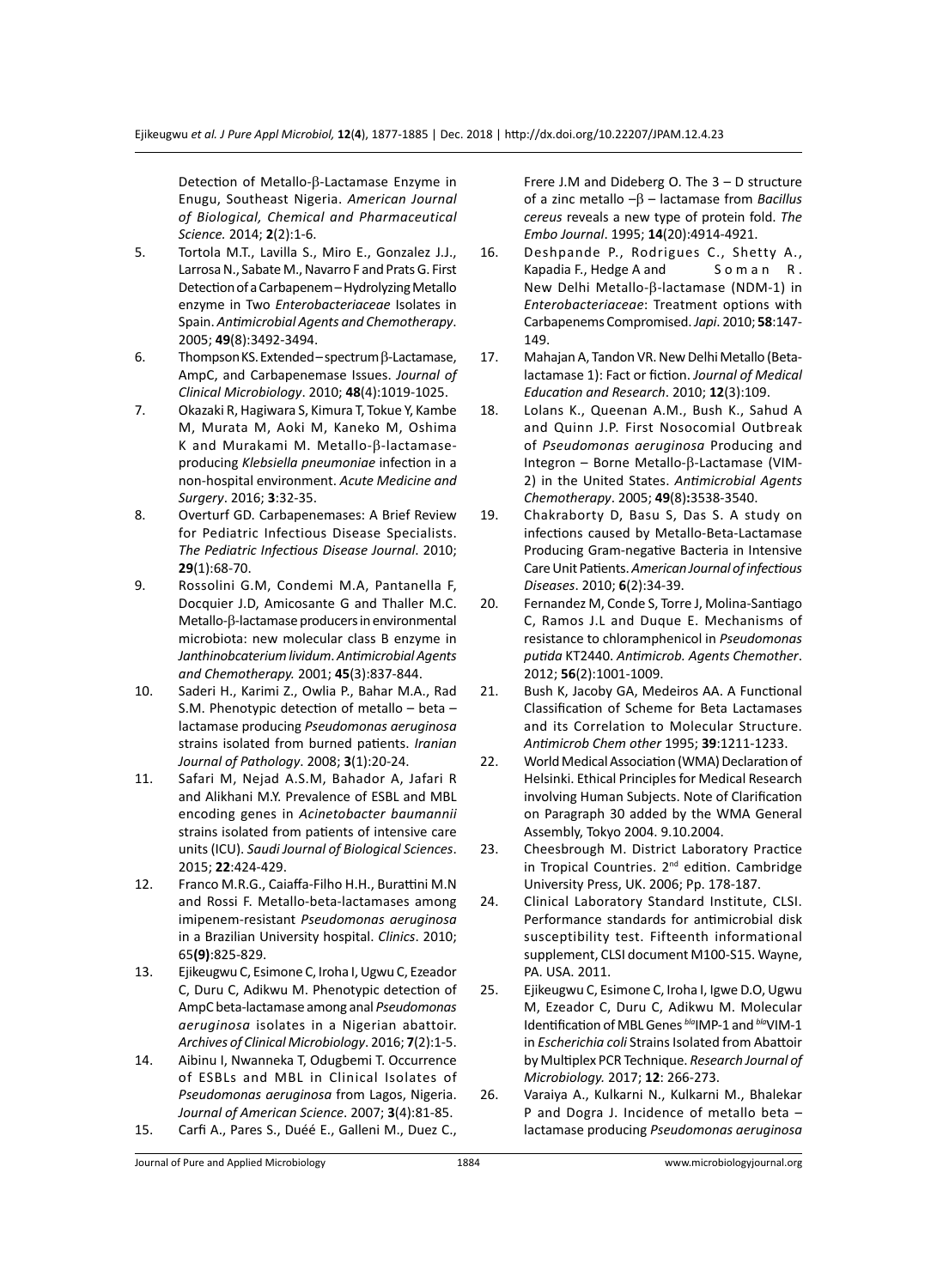Detection of Metallo-β-Lactamase Enzyme in Enugu, Southeast Nigeria. *American Journal of Biological, Chemical and Pharmaceutical Science.* 2014; **2**(2):1-6.

- 5. Tortola M.T., Lavilla S., Miro E., Gonzalez J.J., Larrosa N., Sabate M., Navarro F and Prats G. First Detection of a Carbapenem – Hydrolyzing Metallo enzyme in Two *Enterobacteriaceae* Isolates in Spain. *Antimicrobial Agents and Chemotherapy*. 2005; **49**(8):3492-3494.
- 6. Thompson KS. Extended spectrum β-Lactamase, AmpC, and Carbapenemase Issues. *Journal of Clinical Microbiology*. 2010; **48**(4):1019-1025.
- 7. Okazaki R, Hagiwara S, Kimura T, Tokue Y, Kambe M, Murata M, Aoki M, Kaneko M, Oshima K and Murakami M. Metallo- $\beta$ -lactamaseproducing *Klebsiella pneumoniae* infection in a non-hospital environment. *Acute Medicine and Surgery*. 2016; **3**:32-35.
- 8. Overturf GD. Carbapenemases: A Brief Review for Pediatric Infectious Disease Specialists. *The Pediatric Infectious Disease Journal*. 2010; **29**(1):68-70.
- 9. Rossolini G.M, Condemi M.A, Pantanella F, Docquier J.D, Amicosante G and Thaller M.C. Metallo-β-lactamase producers in environmental microbiota: new molecular class B enzyme in *Janthinobcaterium lividum*. *Antimicrobial Agents and Chemotherapy.* 2001; **45**(3):837-844.
- 10. Saderi H., Karimi Z., Owlia P., Bahar M.A., Rad S.M. Phenotypic detection of metallo – beta – lactamase producing *Pseudomonas aeruginosa* strains isolated from burned patients. *Iranian Journal of Pathology*. 2008; **3**(1):20-24.
- 11. Safari M, Nejad A.S.M, Bahador A, Jafari R and Alikhani M.Y. Prevalence of ESBL and MBL encoding genes in *Acinetobacter baumannii*  strains isolated from patients of intensive care units (ICU). *Saudi Journal of Biological Sciences*. 2015; **22**:424-429.
- 12. Franco M.R.G., Caiaffa-Filho H.H., Burattini M.N and Rossi F. Metallo-beta-lactamases among imipenem-resistant *Pseudomonas aeruginosa* in a Brazilian University hospital. *Clinics*. 2010; 65**(9)**:825-829.
- 13. Ejikeugwu C, Esimone C, Iroha I, Ugwu C, Ezeador C, Duru C, Adikwu M. Phenotypic detection of AmpC beta-lactamase among anal *Pseudomonas aeruginosa* isolates in a Nigerian abattoir. *Archives of Clinical Microbiology*. 2016; **7**(2):1-5.
- 14. Aibinu I, Nwanneka T, Odugbemi T. Occurrence of ESBLs and MBL in Clinical Isolates of *Pseudomonas aeruginosa* from Lagos, Nigeria. *Journal of American Science*. 2007; **3**(4):81-85. 15. Carfi A., Pares S., Duéé E., Galleni M., Duez C.,

Frere J.M and Dideberg O. The 3 – D structure of a zinc metallo –β – lactamase from *Bacillus cereus* reveals a new type of protein fold. *The Embo Journal*. 1995; **14**(20):4914-4921.

- 16. Deshpande P., Rodrigues C., Shetty A., Kapadia F., Hedge A and Soman R. New Delhi Metallo-β-lactamase (NDM-1) in *Enterobacteriaceae*: Treatment options with Carbapenems Compromised. *Japi*. 2010; **58**:147- 149.
- 17. Mahajan A, Tandon VR. New Delhi Metallo (Betalactamase 1): Fact or fiction. *Journal of Medical Education and Research*. 2010; **12**(3):109.
- 18. Lolans K., Queenan A.M., Bush K., Sahud A and Quinn J.P. First Nosocomial Outbreak of *Pseudomonas aeruginosa* Producing and Integron – Borne Metallo-β-Lactamase (VIM-2) in the United States. *Antimicrobial Agents Chemotherapy*. 2005; **49**(8)**:**3538-3540.
- 19. Chakraborty D, Basu S, Das S. A study on infections caused by Metallo-Beta-Lactamase Producing Gram-negative Bacteria in Intensive Care Unit Patients. *American Journal ofinfectious Diseases*. 2010; **6**(2):34-39.
- 20. Fernandez M, Conde S, Torre J, Molina-Santiago C, Ramos J.L and Duque E. Mechanisms of resistance to chloramphenicol in *Pseudomonas putida* KT2440. *Antimicrob. Agents Chemother*. 2012; **56**(2):1001-1009.
- 21. Bush K, Jacoby GA, Medeiros AA. A Functional Classification of Scheme for Beta Lactamases and its Correlation to Molecular Structure. *Antimicrob Chem other* 1995; **39**:1211-1233.
- 22. World Medical Association (WMA) Declaration of Helsinki. Ethical Principles for Medical Research involving Human Subjects. Note of Clarification on Paragraph 30 added by the WMA General Assembly, Tokyo 2004. 9.10.2004.
- 23. Cheesbrough M. District Laboratory Practice in Tropical Countries. 2<sup>nd</sup> edition. Cambridge University Press, UK. 2006; Pp. 178-187.
- 24. Clinical Laboratory Standard Institute, CLSI. Performance standards for antimicrobial disk susceptibility test. Fifteenth informational supplement, CLSI document M100-S15. Wayne, PA. USA. 2011.
- 25. Ejikeugwu C, Esimone C, Iroha I, Igwe D.O, Ugwu M, Ezeador C, Duru C, Adikwu M. Molecular Identification of MBL Genes *bla*IMP-1 and *bla*VIM-1 in *Escherichia coli* Strains Isolated from Abattoir by Multiplex PCR Technique. *Research Journal of Microbiology.* 2017; **12**: 266-273.
- 26. Varaiya A., Kulkarni N., Kulkarni M., Bhalekar P and Dogra J. Incidence of metallo beta – lactamase producing *Pseudomonas aeruginosa*